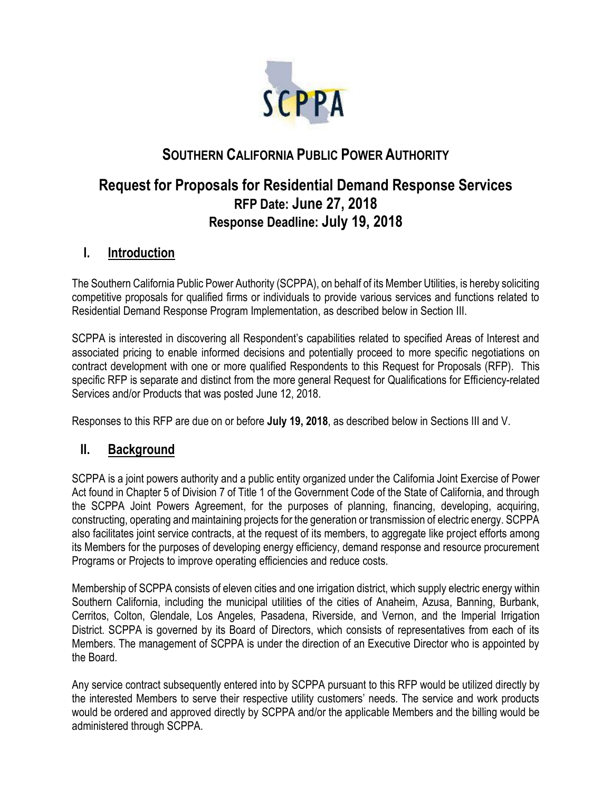

# **SOUTHERN CALIFORNIA PUBLIC POWER AUTHORITY**

# **Request for Proposals for Residential Demand Response Services RFP Date: June 27, 2018 Response Deadline: July 19, 2018**

## **I. Introduction**

The Southern California Public Power Authority (SCPPA), on behalf of its Member Utilities, is hereby soliciting competitive proposals for qualified firms or individuals to provide various services and functions related to Residential Demand Response Program Implementation, as described below in Section III.

SCPPA is interested in discovering all Respondent's capabilities related to specified Areas of Interest and associated pricing to enable informed decisions and potentially proceed to more specific negotiations on contract development with one or more qualified Respondents to this Request for Proposals (RFP). This specific RFP is separate and distinct from the more general Request for Qualifications for Efficiency-related Services and/or Products that was posted June 12, 2018.

Responses to this RFP are due on or before **July 19, 2018**, as described below in Sections III and V.

## **II. Background**

SCPPA is a ioint powers authority and a public entity organized under the California Joint Exercise of Power Act found in Chapter 5 of Division 7 of Title 1 of the Government Code of the State of California, and through the SCPPA Joint Powers Agreement, for the purposes of planning, financing, developing, acquiring, constructing, operating and maintaining projects for the generation or transmission of electric energy. SCPPA also facilitates joint service contracts, at the request of its members, to aggregate like project efforts among its Members for the purposes of developing energy efficiency, demand response and resource procurement Programs or Projects to improve operating efficiencies and reduce costs.

Membership of SCPPA consists of eleven cities and one irrigation district, which supply electric energy within Southern California, including the municipal utilities of the cities of Anaheim, Azusa, Banning, Burbank, Cerritos, Colton, Glendale, Los Angeles, Pasadena, Riverside, and Vernon, and the Imperial Irrigation District. SCPPA is governed by its Board of Directors, which consists of representatives from each of its Members. The management of SCPPA is under the direction of an Executive Director who is appointed by the Board.

Any service contract subsequently entered into by SCPPA pursuant to this RFP would be utilized directly by the interested Members to serve their respective utility customers' needs. The service and work products would be ordered and approved directly by SCPPA and/or the applicable Members and the billing would be administered through SCPPA.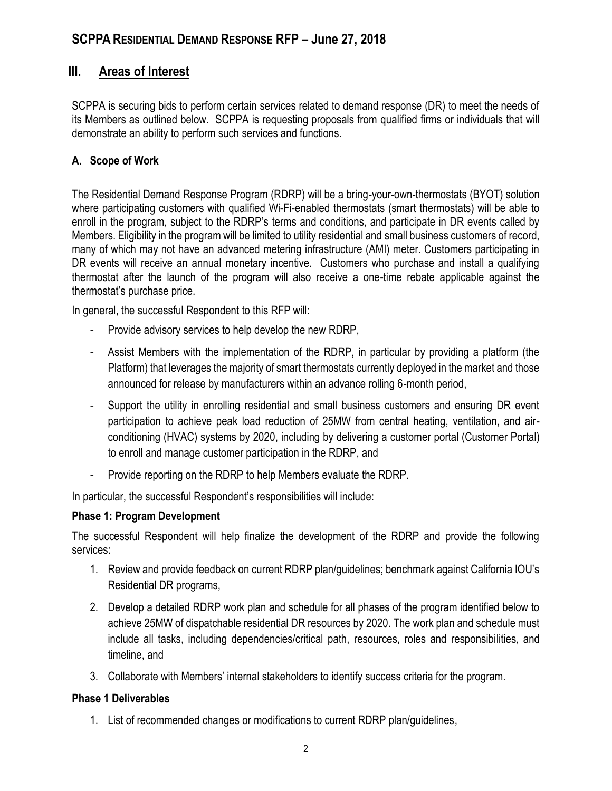## **III. Areas of Interest**

SCPPA is securing bids to perform certain services related to demand response (DR) to meet the needs of its Members as outlined below. SCPPA is requesting proposals from qualified firms or individuals that will demonstrate an ability to perform such services and functions.

### **A. Scope of Work**

The Residential Demand Response Program (RDRP) will be a bring-your-own-thermostats (BYOT) solution where participating customers with qualified Wi-Fi-enabled thermostats (smart thermostats) will be able to enroll in the program, subject to the RDRP's terms and conditions, and participate in DR events called by Members. Eligibility in the program will be limited to utility residential and small business customers of record, many of which may not have an advanced metering infrastructure (AMI) meter. Customers participating in DR events will receive an annual monetary incentive. Customers who purchase and install a qualifying thermostat after the launch of the program will also receive a one-time rebate applicable against the thermostat's purchase price.

In general, the successful Respondent to this RFP will:

- Provide advisory services to help develop the new RDRP,
- Assist Members with the implementation of the RDRP, in particular by providing a platform (the Platform) that leverages the majority of smart thermostats currently deployed in the market and those announced for release by manufacturers within an advance rolling 6-month period,
- Support the utility in enrolling residential and small business customers and ensuring DR event participation to achieve peak load reduction of 25MW from central heating, ventilation, and airconditioning (HVAC) systems by 2020, including by delivering a customer portal (Customer Portal) to enroll and manage customer participation in the RDRP, and
- Provide reporting on the RDRP to help Members evaluate the RDRP.

In particular, the successful Respondent's responsibilities will include:

#### **Phase 1: Program Development**

The successful Respondent will help finalize the development of the RDRP and provide the following services:

- 1. Review and provide feedback on current RDRP plan/guidelines; benchmark against California IOU's Residential DR programs,
- 2. Develop a detailed RDRP work plan and schedule for all phases of the program identified below to achieve 25MW of dispatchable residential DR resources by 2020. The work plan and schedule must include all tasks, including dependencies/critical path, resources, roles and responsibilities, and timeline, and
- 3. Collaborate with Members' internal stakeholders to identify success criteria for the program.

#### **Phase 1 Deliverables**

1. List of recommended changes or modifications to current RDRP plan/guidelines,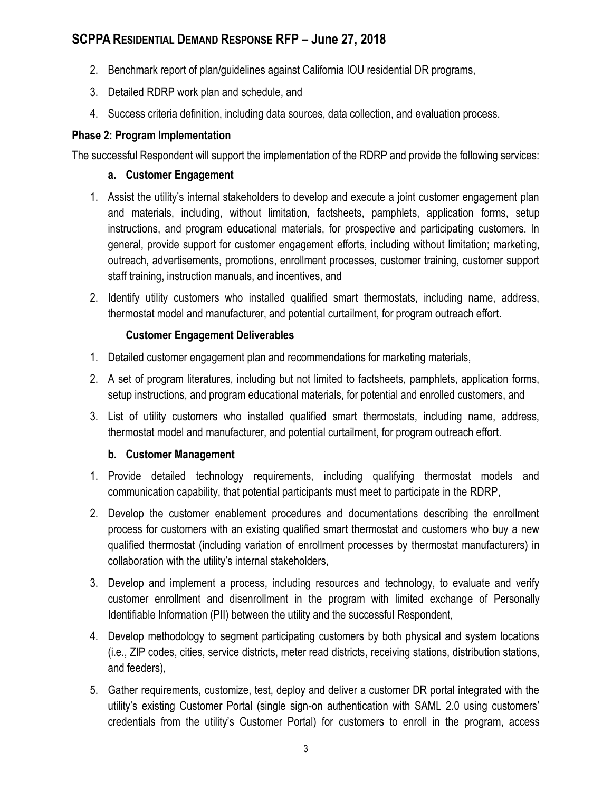- 2. Benchmark report of plan/guidelines against California IOU residential DR programs,
- 3. Detailed RDRP work plan and schedule, and
- 4. Success criteria definition, including data sources, data collection, and evaluation process.

### **Phase 2: Program Implementation**

The successful Respondent will support the implementation of the RDRP and provide the following services:

#### **a. Customer Engagement**

- 1. Assist the utility's internal stakeholders to develop and execute a joint customer engagement plan and materials, including, without limitation, factsheets, pamphlets, application forms, setup instructions, and program educational materials, for prospective and participating customers. In general, provide support for customer engagement efforts, including without limitation; marketing, outreach, advertisements, promotions, enrollment processes, customer training, customer support staff training, instruction manuals, and incentives, and
- 2. Identify utility customers who installed qualified smart thermostats, including name, address, thermostat model and manufacturer, and potential curtailment, for program outreach effort.

### **Customer Engagement Deliverables**

- 1. Detailed customer engagement plan and recommendations for marketing materials,
- 2. A set of program literatures, including but not limited to factsheets, pamphlets, application forms, setup instructions, and program educational materials, for potential and enrolled customers, and
- 3. List of utility customers who installed qualified smart thermostats, including name, address, thermostat model and manufacturer, and potential curtailment, for program outreach effort.

#### **b. Customer Management**

- 1. Provide detailed technology requirements, including qualifying thermostat models and communication capability, that potential participants must meet to participate in the RDRP,
- 2. Develop the customer enablement procedures and documentations describing the enrollment process for customers with an existing qualified smart thermostat and customers who buy a new qualified thermostat (including variation of enrollment processes by thermostat manufacturers) in collaboration with the utility's internal stakeholders,
- 3. Develop and implement a process, including resources and technology, to evaluate and verify customer enrollment and disenrollment in the program with limited exchange of Personally Identifiable Information (PII) between the utility and the successful Respondent,
- 4. Develop methodology to segment participating customers by both physical and system locations (i.e., ZIP codes, cities, service districts, meter read districts, receiving stations, distribution stations, and feeders),
- 5. Gather requirements, customize, test, deploy and deliver a customer DR portal integrated with the utility's existing Customer Portal (single sign-on authentication with SAML 2.0 using customers' credentials from the utility's Customer Portal) for customers to enroll in the program, access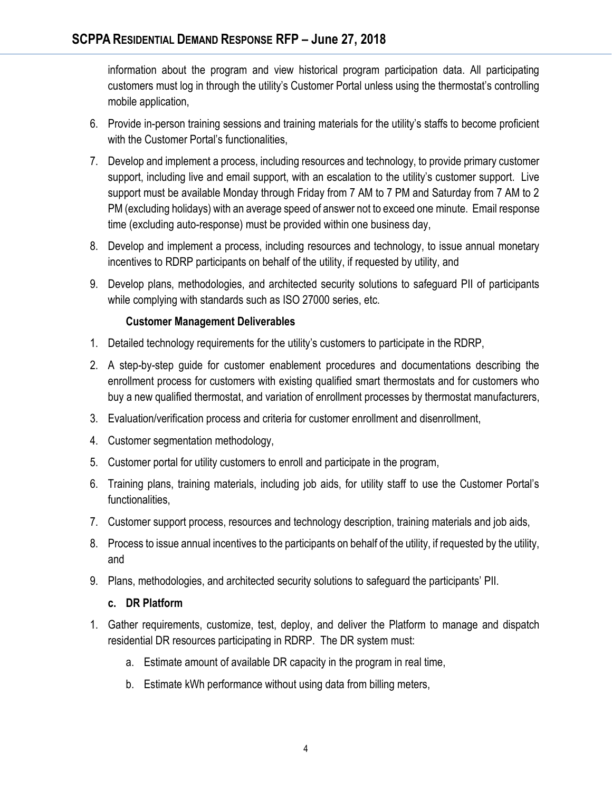information about the program and view historical program participation data. All participating customers must log in through the utility's Customer Portal unless using the thermostat's controlling mobile application,

- 6. Provide in-person training sessions and training materials for the utility's staffs to become proficient with the Customer Portal's functionalities,
- 7. Develop and implement a process, including resources and technology, to provide primary customer support, including live and email support, with an escalation to the utility's customer support. Live support must be available Monday through Friday from 7 AM to 7 PM and Saturday from 7 AM to 2 PM (excluding holidays) with an average speed of answer not to exceed one minute. Email response time (excluding auto-response) must be provided within one business day,
- 8. Develop and implement a process, including resources and technology, to issue annual monetary incentives to RDRP participants on behalf of the utility, if requested by utility, and
- 9. Develop plans, methodologies, and architected security solutions to safeguard PII of participants while complying with standards such as ISO 27000 series, etc.

### **Customer Management Deliverables**

- 1. Detailed technology requirements for the utility's customers to participate in the RDRP,
- 2. A step-by-step guide for customer enablement procedures and documentations describing the enrollment process for customers with existing qualified smart thermostats and for customers who buy a new qualified thermostat, and variation of enrollment processes by thermostat manufacturers,
- 3. Evaluation/verification process and criteria for customer enrollment and disenrollment,
- 4. Customer segmentation methodology,
- 5. Customer portal for utility customers to enroll and participate in the program,
- 6. Training plans, training materials, including job aids, for utility staff to use the Customer Portal's functionalities,
- 7. Customer support process, resources and technology description, training materials and job aids,
- 8. Process to issue annual incentives to the participants on behalf of the utility, if requested by the utility, and
- 9. Plans, methodologies, and architected security solutions to safeguard the participants' PII.

#### **c. DR Platform**

- 1. Gather requirements, customize, test, deploy, and deliver the Platform to manage and dispatch residential DR resources participating in RDRP. The DR system must:
	- a. Estimate amount of available DR capacity in the program in real time,
	- b. Estimate kWh performance without using data from billing meters,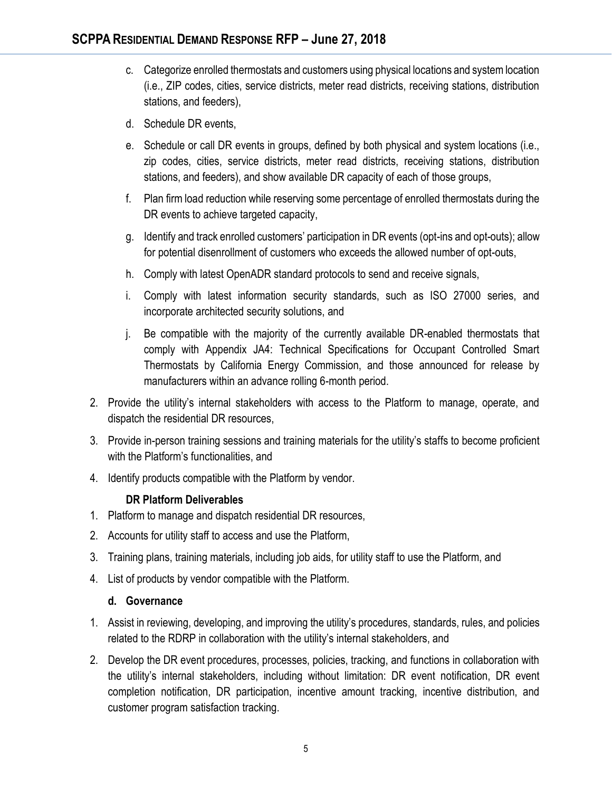- c. Categorize enrolled thermostats and customers using physical locations and system location (i.e., ZIP codes, cities, service districts, meter read districts, receiving stations, distribution stations, and feeders),
- d. Schedule DR events,
- e. Schedule or call DR events in groups, defined by both physical and system locations (i.e., zip codes, cities, service districts, meter read districts, receiving stations, distribution stations, and feeders), and show available DR capacity of each of those groups,
- f. Plan firm load reduction while reserving some percentage of enrolled thermostats during the DR events to achieve targeted capacity,
- g. Identify and track enrolled customers' participation in DR events (opt-ins and opt-outs); allow for potential disenrollment of customers who exceeds the allowed number of opt-outs,
- h. Comply with latest OpenADR standard protocols to send and receive signals,
- i. Comply with latest information security standards, such as ISO 27000 series, and incorporate architected security solutions, and
- j. Be compatible with the majority of the currently available DR-enabled thermostats that comply with Appendix JA4: Technical Specifications for Occupant Controlled Smart Thermostats by California Energy Commission, and those announced for release by manufacturers within an advance rolling 6-month period.
- 2. Provide the utility's internal stakeholders with access to the Platform to manage, operate, and dispatch the residential DR resources,
- 3. Provide in-person training sessions and training materials for the utility's staffs to become proficient with the Platform's functionalities, and
- 4. Identify products compatible with the Platform by vendor.

### **DR Platform Deliverables**

- 1. Platform to manage and dispatch residential DR resources,
- 2. Accounts for utility staff to access and use the Platform,
- 3. Training plans, training materials, including job aids, for utility staff to use the Platform, and
- 4. List of products by vendor compatible with the Platform.

#### **d. Governance**

- 1. Assist in reviewing, developing, and improving the utility's procedures, standards, rules, and policies related to the RDRP in collaboration with the utility's internal stakeholders, and
- 2. Develop the DR event procedures, processes, policies, tracking, and functions in collaboration with the utility's internal stakeholders, including without limitation: DR event notification, DR event completion notification, DR participation, incentive amount tracking, incentive distribution, and customer program satisfaction tracking.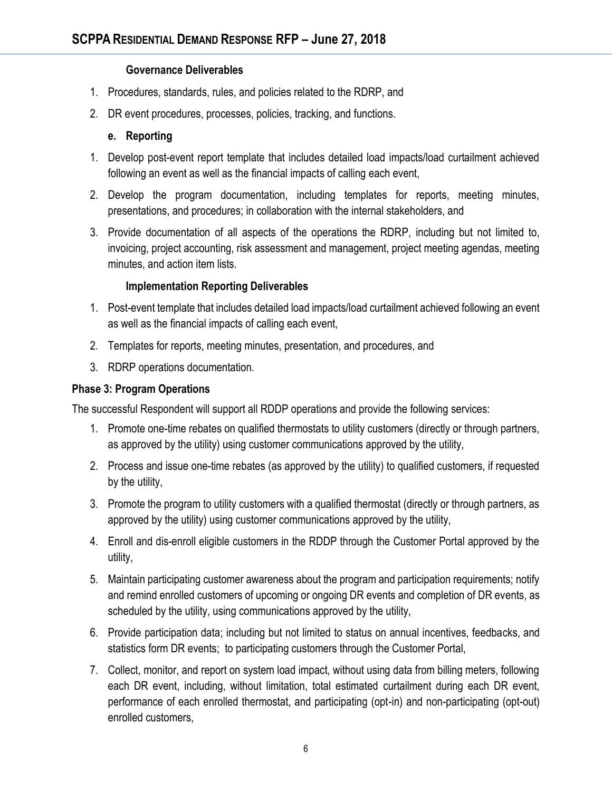#### **Governance Deliverables**

- 1. Procedures, standards, rules, and policies related to the RDRP, and
- 2. DR event procedures, processes, policies, tracking, and functions.

### **e. Reporting**

- 1. Develop post-event report template that includes detailed load impacts/load curtailment achieved following an event as well as the financial impacts of calling each event,
- 2. Develop the program documentation, including templates for reports, meeting minutes, presentations, and procedures; in collaboration with the internal stakeholders, and
- 3. Provide documentation of all aspects of the operations the RDRP, including but not limited to, invoicing, project accounting, risk assessment and management, project meeting agendas, meeting minutes, and action item lists.

### **Implementation Reporting Deliverables**

- 1. Post-event template that includes detailed load impacts/load curtailment achieved following an event as well as the financial impacts of calling each event,
- 2. Templates for reports, meeting minutes, presentation, and procedures, and
- 3. RDRP operations documentation.

### **Phase 3: Program Operations**

The successful Respondent will support all RDDP operations and provide the following services:

- 1. Promote one-time rebates on qualified thermostats to utility customers (directly or through partners, as approved by the utility) using customer communications approved by the utility,
- 2. Process and issue one-time rebates (as approved by the utility) to qualified customers, if requested by the utility,
- 3. Promote the program to utility customers with a qualified thermostat (directly or through partners, as approved by the utility) using customer communications approved by the utility,
- 4. Enroll and dis-enroll eligible customers in the RDDP through the Customer Portal approved by the utility,
- 5. Maintain participating customer awareness about the program and participation requirements; notify and remind enrolled customers of upcoming or ongoing DR events and completion of DR events, as scheduled by the utility, using communications approved by the utility,
- 6. Provide participation data; including but not limited to status on annual incentives, feedbacks, and statistics form DR events; to participating customers through the Customer Portal,
- 7. Collect, monitor, and report on system load impact, without using data from billing meters, following each DR event, including, without limitation, total estimated curtailment during each DR event, performance of each enrolled thermostat, and participating (opt-in) and non-participating (opt-out) enrolled customers,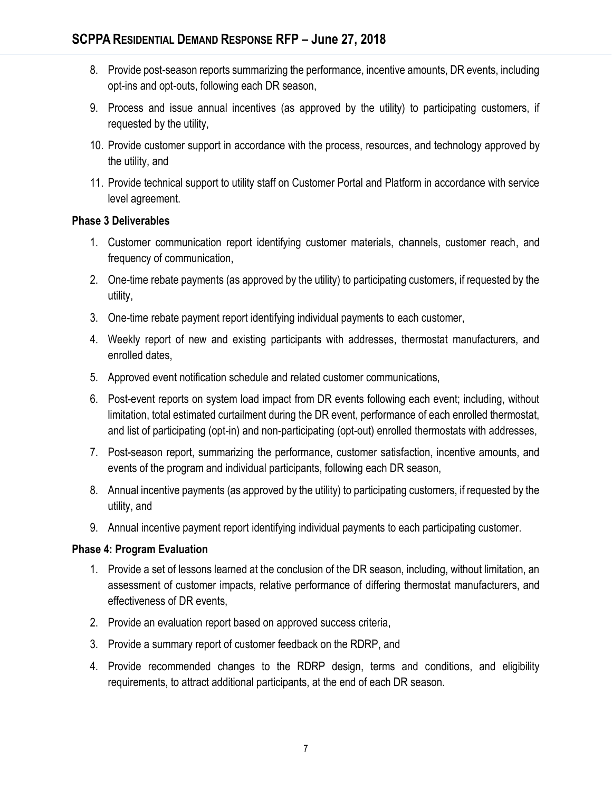- 8. Provide post-season reports summarizing the performance, incentive amounts, DR events, including opt-ins and opt-outs, following each DR season,
- 9. Process and issue annual incentives (as approved by the utility) to participating customers, if requested by the utility,
- 10. Provide customer support in accordance with the process, resources, and technology approved by the utility, and
- 11. Provide technical support to utility staff on Customer Portal and Platform in accordance with service level agreement.

### **Phase 3 Deliverables**

- 1. Customer communication report identifying customer materials, channels, customer reach, and frequency of communication,
- 2. One-time rebate payments (as approved by the utility) to participating customers, if requested by the utility,
- 3. One-time rebate payment report identifying individual payments to each customer,
- 4. Weekly report of new and existing participants with addresses, thermostat manufacturers, and enrolled dates,
- 5. Approved event notification schedule and related customer communications,
- 6. Post-event reports on system load impact from DR events following each event; including, without limitation, total estimated curtailment during the DR event, performance of each enrolled thermostat, and list of participating (opt-in) and non-participating (opt-out) enrolled thermostats with addresses,
- 7. Post-season report, summarizing the performance, customer satisfaction, incentive amounts, and events of the program and individual participants, following each DR season,
- 8. Annual incentive payments (as approved by the utility) to participating customers, if requested by the utility, and
- 9. Annual incentive payment report identifying individual payments to each participating customer.

### **Phase 4: Program Evaluation**

- 1. Provide a set of lessons learned at the conclusion of the DR season, including, without limitation, an assessment of customer impacts, relative performance of differing thermostat manufacturers, and effectiveness of DR events,
- 2. Provide an evaluation report based on approved success criteria,
- 3. Provide a summary report of customer feedback on the RDRP, and
- 4. Provide recommended changes to the RDRP design, terms and conditions, and eligibility requirements, to attract additional participants, at the end of each DR season.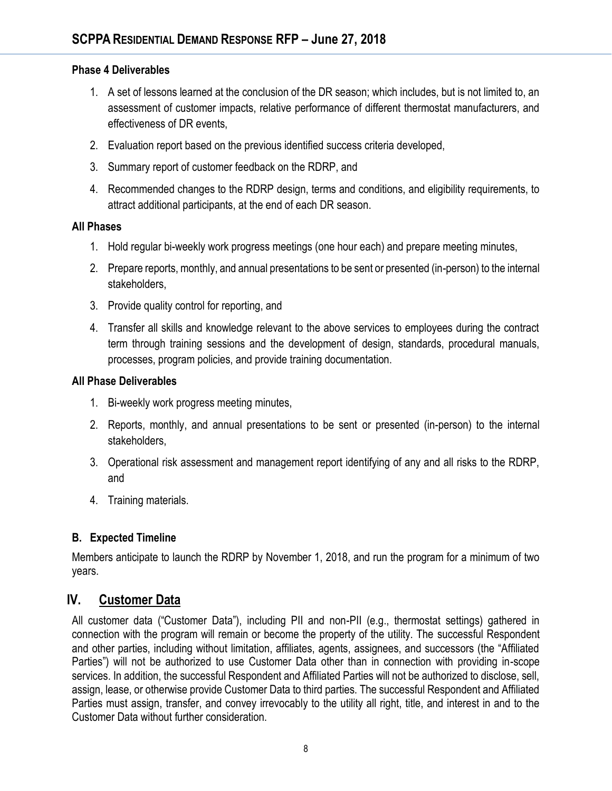### **Phase 4 Deliverables**

- 1. A set of lessons learned at the conclusion of the DR season; which includes, but is not limited to, an assessment of customer impacts, relative performance of different thermostat manufacturers, and effectiveness of DR events,
- 2. Evaluation report based on the previous identified success criteria developed,
- 3. Summary report of customer feedback on the RDRP, and
- 4. Recommended changes to the RDRP design, terms and conditions, and eligibility requirements, to attract additional participants, at the end of each DR season.

### **All Phases**

- 1. Hold regular bi-weekly work progress meetings (one hour each) and prepare meeting minutes,
- 2. Prepare reports, monthly, and annual presentations to be sent or presented (in-person) to the internal stakeholders,
- 3. Provide quality control for reporting, and
- 4. Transfer all skills and knowledge relevant to the above services to employees during the contract term through training sessions and the development of design, standards, procedural manuals, processes, program policies, and provide training documentation.

### **All Phase Deliverables**

- 1. Bi-weekly work progress meeting minutes,
- 2. Reports, monthly, and annual presentations to be sent or presented (in-person) to the internal stakeholders,
- 3. Operational risk assessment and management report identifying of any and all risks to the RDRP, and
- 4. Training materials.

### **B. Expected Timeline**

Members anticipate to launch the RDRP by November 1, 2018, and run the program for a minimum of two years.

## **IV. Customer Data**

All customer data ("Customer Data"), including PII and non-PII (e.g., thermostat settings) gathered in connection with the program will remain or become the property of the utility. The successful Respondent and other parties, including without limitation, affiliates, agents, assignees, and successors (the "Affiliated Parties") will not be authorized to use Customer Data other than in connection with providing in-scope services. In addition, the successful Respondent and Affiliated Parties will not be authorized to disclose, sell, assign, lease, or otherwise provide Customer Data to third parties. The successful Respondent and Affiliated Parties must assign, transfer, and convey irrevocably to the utility all right, title, and interest in and to the Customer Data without further consideration.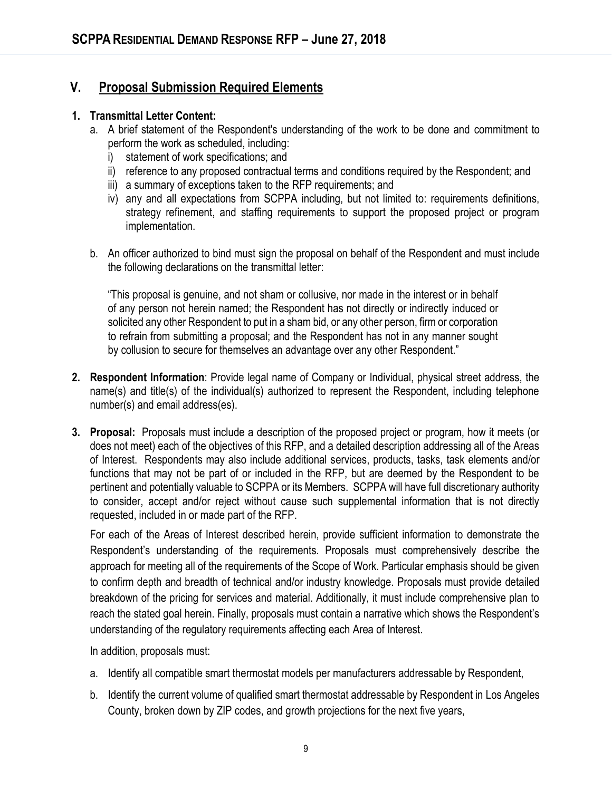## **V. Proposal Submission Required Elements**

#### **1. Transmittal Letter Content:**

- a. A brief statement of the Respondent's understanding of the work to be done and commitment to perform the work as scheduled, including:
	- i) statement of work specifications; and
	- ii) reference to any proposed contractual terms and conditions required by the Respondent; and
	- iii) a summary of exceptions taken to the RFP requirements; and
	- iv) any and all expectations from SCPPA including, but not limited to: requirements definitions, strategy refinement, and staffing requirements to support the proposed project or program implementation.
- b. An officer authorized to bind must sign the proposal on behalf of the Respondent and must include the following declarations on the transmittal letter:

"This proposal is genuine, and not sham or collusive, nor made in the interest or in behalf of any person not herein named; the Respondent has not directly or indirectly induced or solicited any other Respondent to put in a sham bid, or any other person, firm or corporation to refrain from submitting a proposal; and the Respondent has not in any manner sought by collusion to secure for themselves an advantage over any other Respondent."

- **2. Respondent Information**: Provide legal name of Company or Individual, physical street address, the name(s) and title(s) of the individual(s) authorized to represent the Respondent, including telephone number(s) and email address(es).
- **3. Proposal:** Proposals must include a description of the proposed project or program, how it meets (or does not meet) each of the objectives of this RFP, and a detailed description addressing all of the Areas of Interest. Respondents may also include additional services, products, tasks, task elements and/or functions that may not be part of or included in the RFP, but are deemed by the Respondent to be pertinent and potentially valuable to SCPPA or its Members. SCPPA will have full discretionary authority to consider, accept and/or reject without cause such supplemental information that is not directly requested, included in or made part of the RFP.

For each of the Areas of Interest described herein, provide sufficient information to demonstrate the Respondent's understanding of the requirements. Proposals must comprehensively describe the approach for meeting all of the requirements of the Scope of Work. Particular emphasis should be given to confirm depth and breadth of technical and/or industry knowledge. Proposals must provide detailed breakdown of the pricing for services and material. Additionally, it must include comprehensive plan to reach the stated goal herein. Finally, proposals must contain a narrative which shows the Respondent's understanding of the regulatory requirements affecting each Area of Interest.

In addition, proposals must:

- a. Identify all compatible smart thermostat models per manufacturers addressable by Respondent,
- b. Identify the current volume of qualified smart thermostat addressable by Respondent in Los Angeles County, broken down by ZIP codes, and growth projections for the next five years,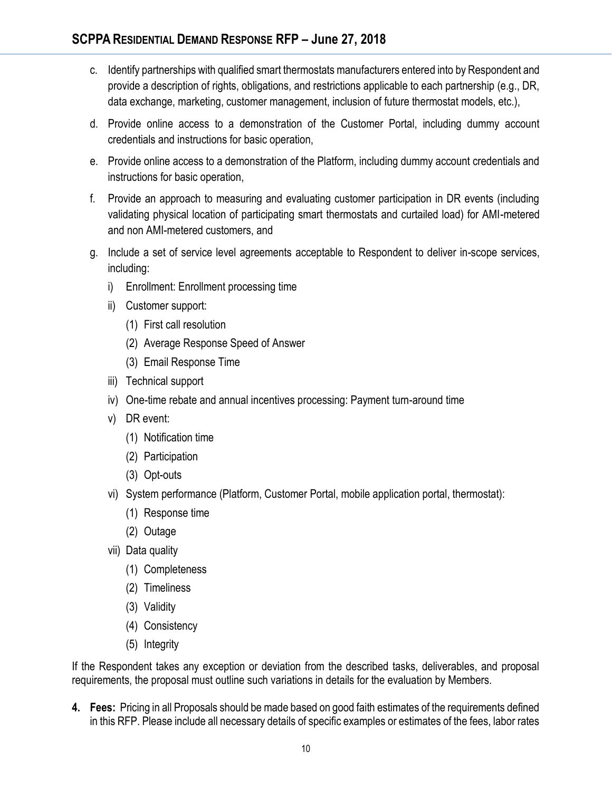- c. Identify partnerships with qualified smart thermostats manufacturers entered into by Respondent and provide a description of rights, obligations, and restrictions applicable to each partnership (e.g., DR, data exchange, marketing, customer management, inclusion of future thermostat models, etc.),
- d. Provide online access to a demonstration of the Customer Portal, including dummy account credentials and instructions for basic operation,
- e. Provide online access to a demonstration of the Platform, including dummy account credentials and instructions for basic operation,
- f. Provide an approach to measuring and evaluating customer participation in DR events (including validating physical location of participating smart thermostats and curtailed load) for AMI-metered and non AMI-metered customers, and
- g. Include a set of service level agreements acceptable to Respondent to deliver in-scope services, including:
	- i) Enrollment: Enrollment processing time
	- ii) Customer support:
		- (1) First call resolution
		- (2) Average Response Speed of Answer
		- (3) Email Response Time
	- iii) Technical support
	- iv) One-time rebate and annual incentives processing: Payment turn-around time
	- v) DR event:
		- (1) Notification time
		- (2) Participation
		- (3) Opt-outs
	- vi) System performance (Platform, Customer Portal, mobile application portal, thermostat):
		- (1) Response time
		- (2) Outage
	- vii) Data quality
		- (1) Completeness
		- (2) Timeliness
		- (3) Validity
		- (4) Consistency
		- (5) Integrity

If the Respondent takes any exception or deviation from the described tasks, deliverables, and proposal requirements, the proposal must outline such variations in details for the evaluation by Members.

**4. Fees:** Pricing in all Proposals should be made based on good faith estimates of the requirements defined in this RFP. Please include all necessary details of specific examples or estimates of the fees, labor rates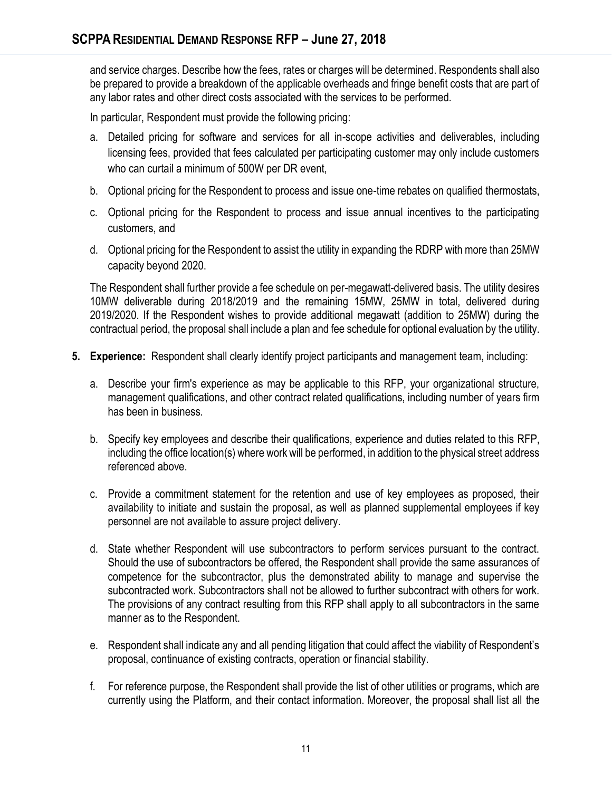and service charges. Describe how the fees, rates or charges will be determined. Respondents shall also be prepared to provide a breakdown of the applicable overheads and fringe benefit costs that are part of any labor rates and other direct costs associated with the services to be performed.

In particular, Respondent must provide the following pricing:

- a. Detailed pricing for software and services for all in-scope activities and deliverables, including licensing fees, provided that fees calculated per participating customer may only include customers who can curtail a minimum of 500W per DR event,
- b. Optional pricing for the Respondent to process and issue one-time rebates on qualified thermostats,
- c. Optional pricing for the Respondent to process and issue annual incentives to the participating customers, and
- d. Optional pricing for the Respondent to assist the utility in expanding the RDRP with more than 25MW capacity beyond 2020.

The Respondent shall further provide a fee schedule on per-megawatt-delivered basis. The utility desires 10MW deliverable during 2018/2019 and the remaining 15MW, 25MW in total, delivered during 2019/2020. If the Respondent wishes to provide additional megawatt (addition to 25MW) during the contractual period, the proposal shall include a plan and fee schedule for optional evaluation by the utility.

- **5. Experience:** Respondent shall clearly identify project participants and management team, including:
	- a. Describe your firm's experience as may be applicable to this RFP, your organizational structure, management qualifications, and other contract related qualifications, including number of years firm has been in business.
	- b. Specify key employees and describe their qualifications, experience and duties related to this RFP, including the office location(s) where work will be performed, in addition to the physical street address referenced above.
	- c. Provide a commitment statement for the retention and use of key employees as proposed, their availability to initiate and sustain the proposal, as well as planned supplemental employees if key personnel are not available to assure project delivery.
	- d. State whether Respondent will use subcontractors to perform services pursuant to the contract. Should the use of subcontractors be offered, the Respondent shall provide the same assurances of competence for the subcontractor, plus the demonstrated ability to manage and supervise the subcontracted work. Subcontractors shall not be allowed to further subcontract with others for work. The provisions of any contract resulting from this RFP shall apply to all subcontractors in the same manner as to the Respondent.
	- e. Respondent shall indicate any and all pending litigation that could affect the viability of Respondent's proposal, continuance of existing contracts, operation or financial stability.
	- f. For reference purpose, the Respondent shall provide the list of other utilities or programs, which are currently using the Platform, and their contact information. Moreover, the proposal shall list all the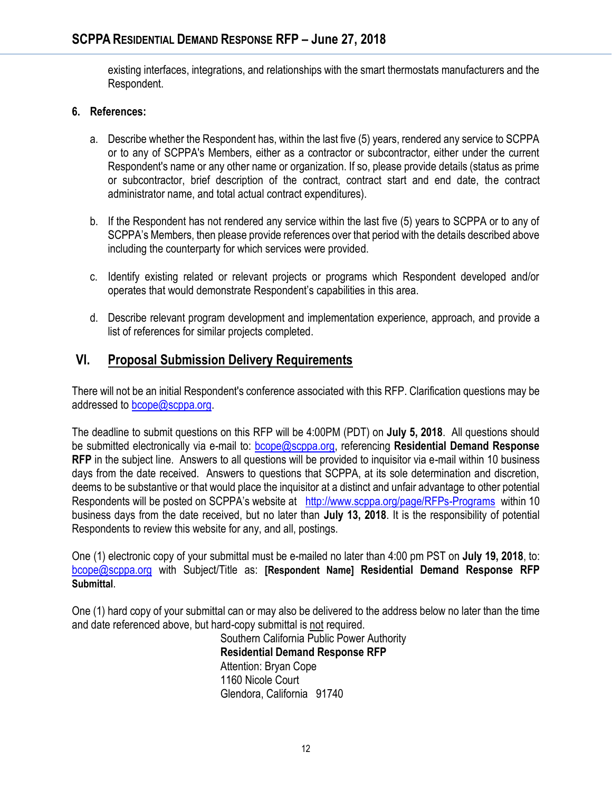existing interfaces, integrations, and relationships with the smart thermostats manufacturers and the Respondent.

#### **6. References:**

- a. Describe whether the Respondent has, within the last five (5) years, rendered any service to SCPPA or to any of SCPPA's Members, either as a contractor or subcontractor, either under the current Respondent's name or any other name or organization. If so, please provide details (status as prime or subcontractor, brief description of the contract, contract start and end date, the contract administrator name, and total actual contract expenditures).
- b. If the Respondent has not rendered any service within the last five (5) years to SCPPA or to any of SCPPA's Members, then please provide references over that period with the details described above including the counterparty for which services were provided.
- c. Identify existing related or relevant projects or programs which Respondent developed and/or operates that would demonstrate Respondent's capabilities in this area.
- d. Describe relevant program development and implementation experience, approach, and provide a list of references for similar projects completed.

## **VI. Proposal Submission Delivery Requirements**

There will not be an initial Respondent's conference associated with this RFP. Clarification questions may be addressed to [bcope@scppa.org.](mailto:bcope@scppa.org)

The deadline to submit questions on this RFP will be 4:00PM (PDT) on **July 5, 2018**. All questions should be submitted electronically via e-mail to: [bcope@scppa.org,](file://///app-server/data/RFPs_RFQs_RFIs/Public%20Benefits%20Committee/Paperless%20Rebate%20Automation/RFP/bcope@scppa.org) referencing **Residential Demand Response RFP** in the subject line. Answers to all questions will be provided to inquisitor via e-mail within 10 business days from the date received. Answers to questions that SCPPA, at its sole determination and discretion, deems to be substantive or that would place the inquisitor at a distinct and unfair advantage to other potential Respondents will be posted on SCPPA's website at <http://www.scppa.org/page/RFPs-Programs>within 10 business days from the date received, but no later than **July 13, 2018**. It is the responsibility of potential Respondents to review this website for any, and all, postings.

One (1) electronic copy of your submittal must be e-mailed no later than 4:00 pm PST on **July 19, 2018**, to: [bcope@scppa.org](mailto:bcope@scppa.org) with Subject/Title as: **[Respondent Name] Residential Demand Response RFP Submittal**.

One (1) hard copy of your submittal can or may also be delivered to the address below no later than the time and date referenced above, but hard-copy submittal is not required.

Southern California Public Power Authority **Residential Demand Response RFP** Attention: Bryan Cope 1160 Nicole Court Glendora, California 91740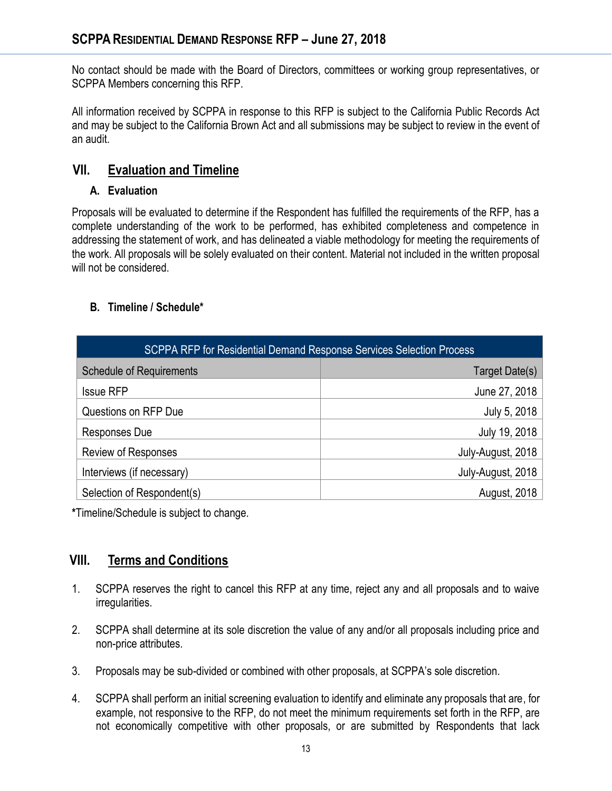No contact should be made with the Board of Directors, committees or working group representatives, or SCPPA Members concerning this RFP.

All information received by SCPPA in response to this RFP is subject to the California Public Records Act and may be subject to the California Brown Act and all submissions may be subject to review in the event of an audit.

# **VII. Evaluation and Timeline**

## **A. Evaluation**

Proposals will be evaluated to determine if the Respondent has fulfilled the requirements of the RFP, has a complete understanding of the work to be performed, has exhibited completeness and competence in addressing the statement of work, and has delineated a viable methodology for meeting the requirements of the work. All proposals will be solely evaluated on their content. Material not included in the written proposal will not be considered.

## **B. Timeline / Schedule\***

| SCPPA RFP for Residential Demand Response Services Selection Process |                   |
|----------------------------------------------------------------------|-------------------|
| <b>Schedule of Requirements</b>                                      | Target Date(s)    |
| <b>Issue RFP</b>                                                     | June 27, 2018     |
| Questions on RFP Due                                                 | July 5, 2018      |
| Responses Due                                                        | July 19, 2018     |
| <b>Review of Responses</b>                                           | July-August, 2018 |
| Interviews (if necessary)                                            | July-August, 2018 |
| Selection of Respondent(s)                                           | August, 2018      |

**\***Timeline/Schedule is subject to change.

# **VIII. Terms and Conditions**

- 1. SCPPA reserves the right to cancel this RFP at any time, reject any and all proposals and to waive irregularities.
- 2. SCPPA shall determine at its sole discretion the value of any and/or all proposals including price and non-price attributes.
- 3. Proposals may be sub-divided or combined with other proposals, at SCPPA's sole discretion.
- 4. SCPPA shall perform an initial screening evaluation to identify and eliminate any proposals that are, for example, not responsive to the RFP, do not meet the minimum requirements set forth in the RFP, are not economically competitive with other proposals, or are submitted by Respondents that lack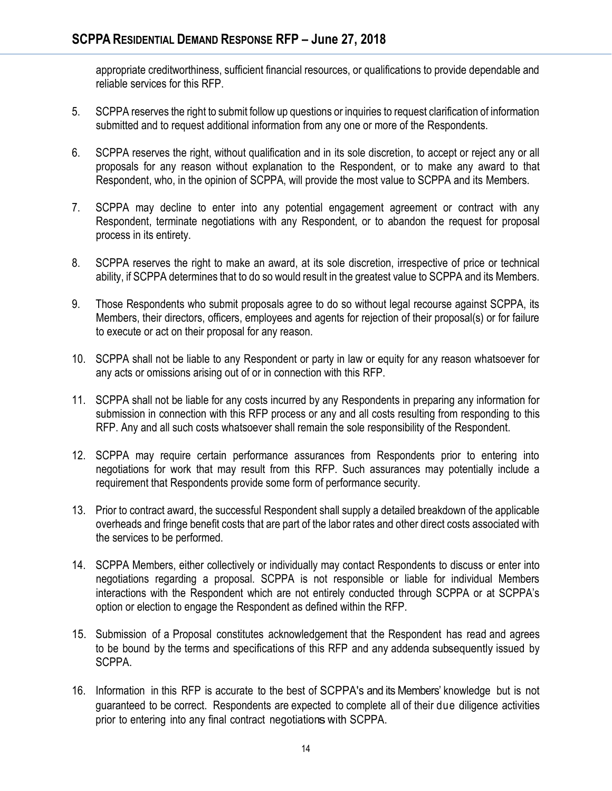appropriate creditworthiness, sufficient financial resources, or qualifications to provide dependable and reliable services for this RFP.

- 5. SCPPA reserves the right to submit follow up questions or inquiries to request clarification of information submitted and to request additional information from any one or more of the Respondents.
- 6. SCPPA reserves the right, without qualification and in its sole discretion, to accept or reject any or all proposals for any reason without explanation to the Respondent, or to make any award to that Respondent, who, in the opinion of SCPPA, will provide the most value to SCPPA and its Members.
- 7. SCPPA may decline to enter into any potential engagement agreement or contract with any Respondent, terminate negotiations with any Respondent, or to abandon the request for proposal process in its entirety.
- 8. SCPPA reserves the right to make an award, at its sole discretion, irrespective of price or technical ability, if SCPPA determines that to do so would result in the greatest value to SCPPA and its Members.
- 9. Those Respondents who submit proposals agree to do so without legal recourse against SCPPA, its Members, their directors, officers, employees and agents for rejection of their proposal(s) or for failure to execute or act on their proposal for any reason.
- 10. SCPPA shall not be liable to any Respondent or party in law or equity for any reason whatsoever for any acts or omissions arising out of or in connection with this RFP.
- 11. SCPPA shall not be liable for any costs incurred by any Respondents in preparing any information for submission in connection with this RFP process or any and all costs resulting from responding to this RFP. Any and all such costs whatsoever shall remain the sole responsibility of the Respondent.
- 12. SCPPA may require certain performance assurances from Respondents prior to entering into negotiations for work that may result from this RFP. Such assurances may potentially include a requirement that Respondents provide some form of performance security.
- 13. Prior to contract award, the successful Respondent shall supply a detailed breakdown of the applicable overheads and fringe benefit costs that are part of the labor rates and other direct costs associated with the services to be performed.
- 14. SCPPA Members, either collectively or individually may contact Respondents to discuss or enter into negotiations regarding a proposal. SCPPA is not responsible or liable for individual Members interactions with the Respondent which are not entirely conducted through SCPPA or at SCPPA's option or election to engage the Respondent as defined within the RFP.
- 15. Submission of a Proposal constitutes acknowledgement that the Respondent has read and agrees to be bound by the terms and specifications of this RFP and any addenda subsequently issued by SCPPA.
- 16. Information in this RFP is accurate to the best of SCPPA's and its Members' knowledge but is not guaranteed to be correct. Respondents are expected to complete all of their due diligence activities prior to entering into any final contract negotiations with SCPPA.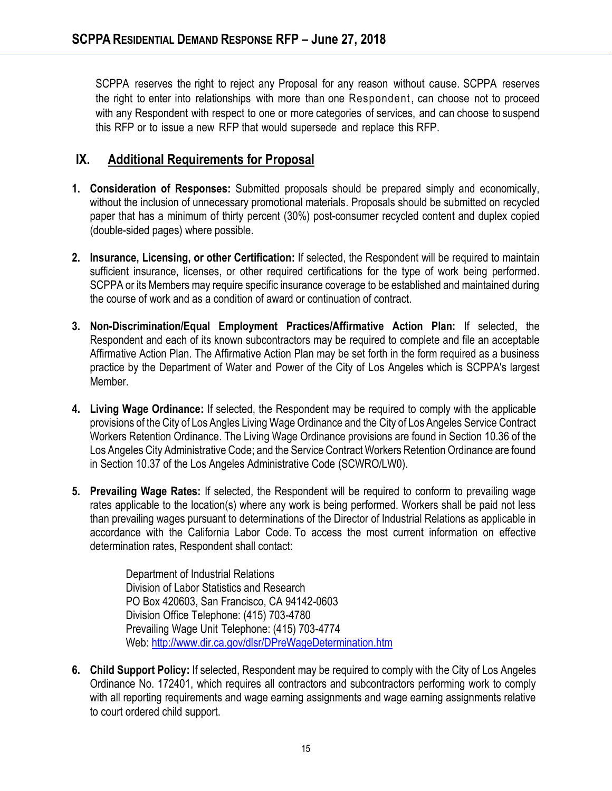SCPPA reserves the right to reject any Proposal for any reason without cause. SCPPA reserves the right to enter into relationships with more than one Respondent, can choose not to proceed with any Respondent with respect to one or more categories of services, and can choose to suspend this RFP or to issue a new RFP that would supersede and replace this RFP.

## **IX. Additional Requirements for Proposal**

- **1. Consideration of Responses:** Submitted proposals should be prepared simply and economically, without the inclusion of unnecessary promotional materials. Proposals should be submitted on recycled paper that has a minimum of thirty percent (30%) post-consumer recycled content and duplex copied (double-sided pages) where possible.
- **2. Insurance, Licensing, or other Certification:** If selected, the Respondent will be required to maintain sufficient insurance, licenses, or other required certifications for the type of work being performed. SCPPA or its Members may require specific insurance coverage to be established and maintained during the course of work and as a condition of award or continuation of contract.
- **3. Non-Discrimination/Equal Employment Practices/Affirmative Action Plan:** If selected, the Respondent and each of its known subcontractors may be required to complete and file an acceptable Affirmative Action Plan. The Affirmative Action Plan may be set forth in the form required as a business practice by the Department of Water and Power of the City of Los Angeles which is SCPPA's largest Member.
- **4. Living Wage Ordinance:** If selected, the Respondent may be required to comply with the applicable provisions of the City of Los Angles Living Wage Ordinance and the City of Los Angeles Service Contract Workers Retention Ordinance. The Living Wage Ordinance provisions are found in Section 10.36 of the Los Angeles City Administrative Code; and the Service Contract Workers Retention Ordinance are found in Section 10.37 of the Los Angeles Administrative Code (SCWRO/LW0).
- **5. Prevailing Wage Rates:** If selected, the Respondent will be required to conform to prevailing wage rates applicable to the location(s) where any work is being performed. Workers shall be paid not less than prevailing wages pursuant to determinations of the Director of Industrial Relations as applicable in accordance with the California Labor Code. To access the most current information on effective determination rates, Respondent shall contact:

Department of Industrial Relations Division of Labor Statistics and Research PO Box 420603, San Francisco, CA 94142-0603 Division Office Telephone: (415) 703-4780 Prevailing Wage Unit Telephone: (415) 703-4774 Web[: http://www.dir.ca.gov/dlsr/DPreWageDetermination.htm](http://www.dir.ca.gov/dlsr/DPreWageDetermination.htm)

**6. Child Support Policy:** If selected, Respondent may be required to comply with the City of Los Angeles Ordinance No. 172401, which requires all contractors and subcontractors performing work to comply with all reporting requirements and wage earning assignments and wage earning assignments relative to court ordered child support.